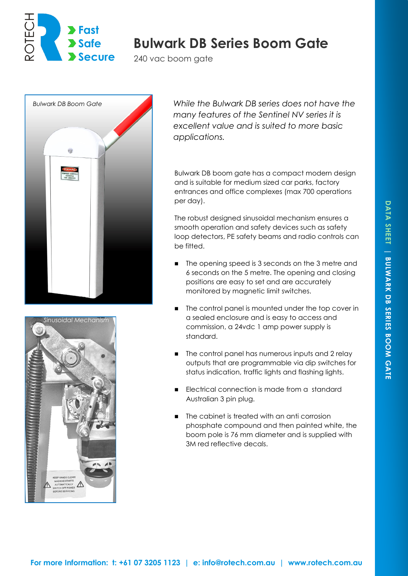

# **Bulwark DB Series Boom Gate**

240 vac boom gate





*While the Bulwark DB series does not have the many features of the Sentinel NV series it is excellent value and is suited to more basic applications.*

Bulwark DB boom gate has a compact modern design and is suitable for medium sized car parks, factory entrances and office complexes (max 700 operations per day).

The robust designed sinusoidal mechanism ensures a smooth operation and safety devices such as safety loop detectors, PE safety beams and radio controls can be fitted.

- The opening speed is 3 seconds on the 3 metre and 6 seconds on the 5 metre. The opening and closing positions are easy to set and are accurately monitored by magnetic limit switches.
- The control panel is mounted under the top cover in a sealed enclosure and is easy to access and commission, a 24vdc 1 amp power supply is standard.
- The control panel has numerous inputs and 2 relay outputs that are programmable via dip switches for status indication, traffic lights and flashing lights.
- Electrical connection is made from a standard Australian 3 pin plug.
- The cabinet is treated with an anti corrosion phosphate compound and then painted white, the boom pole is 76 mm diameter and is supplied with 3M red reflective decals.